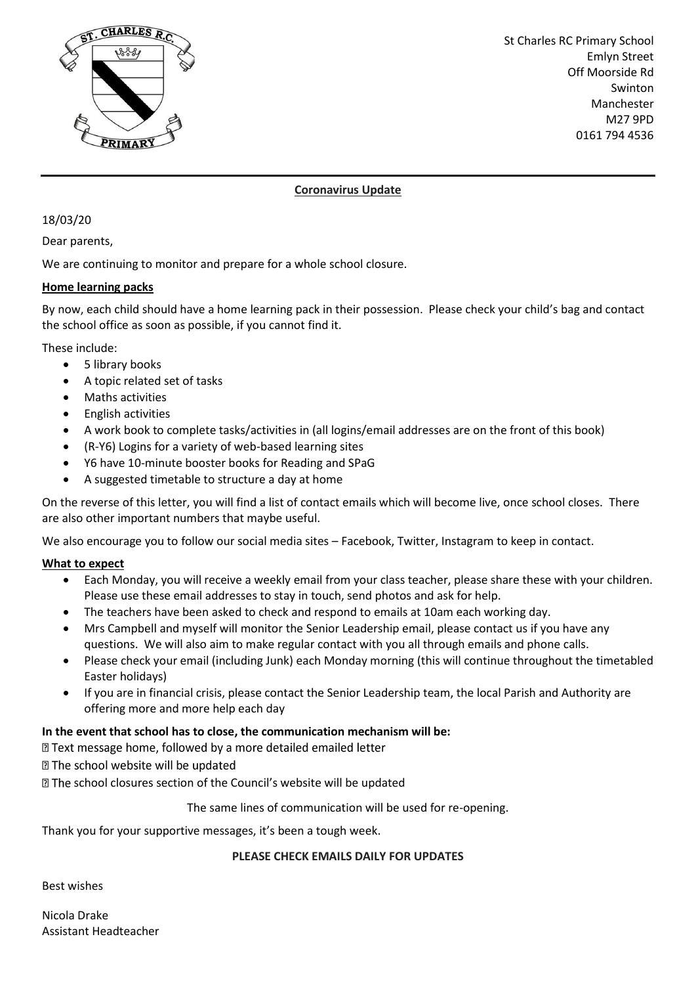

St Charles RC Primary School Emlyn Street Off Moorside Rd Swinton Manchester M27 9PD 0161 794 4536

### **Coronavirus Update**

18/03/20

Dear parents,

We are continuing to monitor and prepare for a whole school closure.

#### **Home learning packs**

By now, each child should have a home learning pack in their possession. Please check your child's bag and contact the school office as soon as possible, if you cannot find it.

These include:

- 5 library books
- A topic related set of tasks
- Maths activities
- English activities
- A work book to complete tasks/activities in (all logins/email addresses are on the front of this book)
- (R-Y6) Logins for a variety of web-based learning sites
- Y6 have 10-minute booster books for Reading and SPaG
- A suggested timetable to structure a day at home

On the reverse of this letter, you will find a list of contact emails which will become live, once school closes. There are also other important numbers that maybe useful.

We also encourage you to follow our social media sites – Facebook, Twitter, Instagram to keep in contact.

#### **What to expect**

- Each Monday, you will receive a weekly email from your class teacher, please share these with your children. Please use these email addresses to stay in touch, send photos and ask for help.
- The teachers have been asked to check and respond to emails at 10am each working day.
- Mrs Campbell and myself will monitor the Senior Leadership email, please contact us if you have any questions. We will also aim to make regular contact with you all through emails and phone calls.
- Please check your email (including Junk) each Monday morning (this will continue throughout the timetabled Easter holidays)
- If you are in financial crisis, please contact the Senior Leadership team, the local Parish and Authority are offering more and more help each day

#### **In the event that school has to close, the communication mechanism will be:**

I Text message home, followed by a more detailed emailed letter

**Z The school website will be updated** 

**If** The school closures section of the Council's website will be updated

The same lines of communication will be used for re-opening.

Thank you for your supportive messages, it's been a tough week.

#### **PLEASE CHECK EMAILS DAILY FOR UPDATES**

Best wishes

Nicola Drake Assistant Headteacher